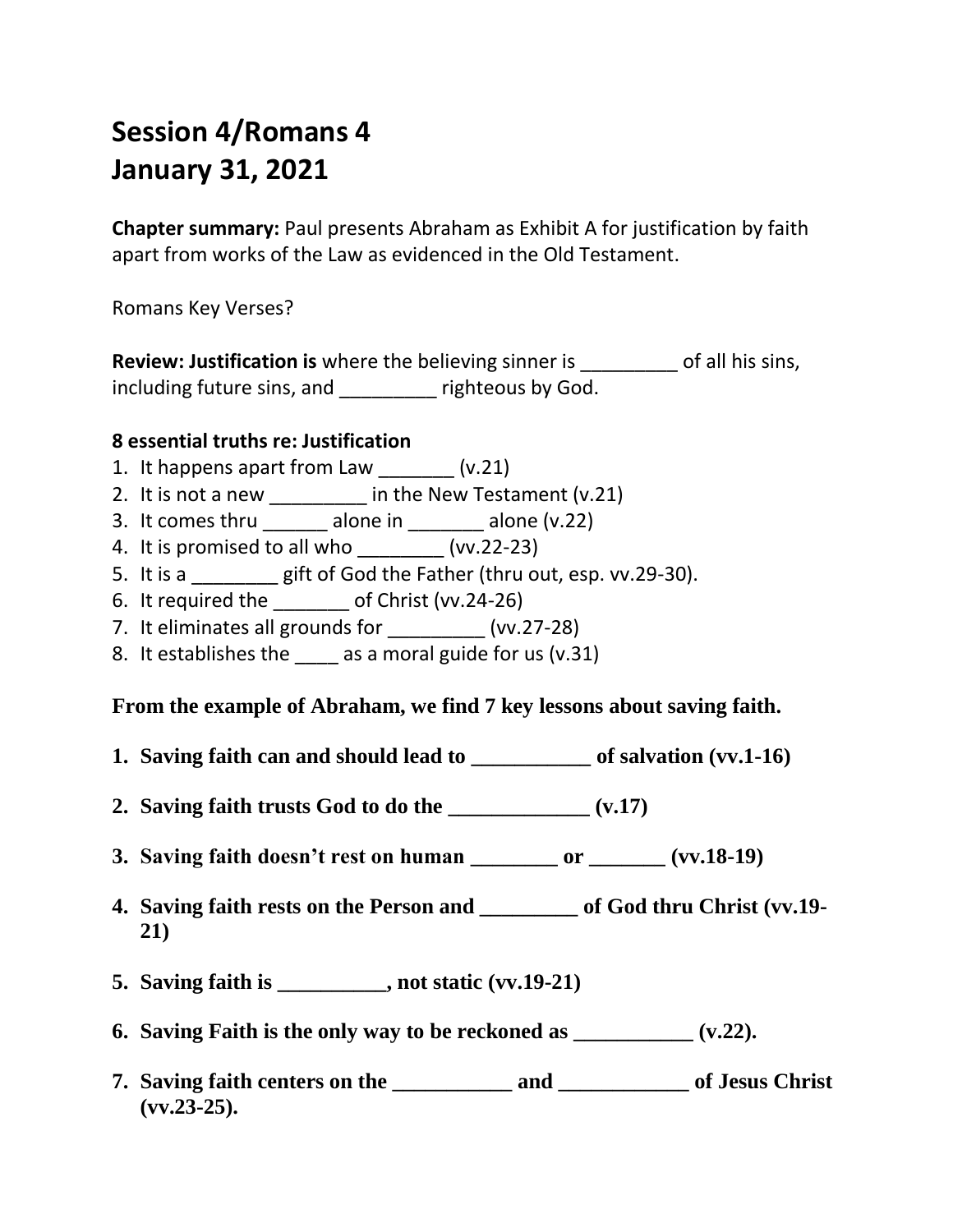## **Session 4/Romans 4 January 31, 2021**

**Chapter summary:** Paul presents Abraham as Exhibit A for justification by faith apart from works of the Law as evidenced in the Old Testament.

Romans Key Verses?

**Review: Justification is** where the believing sinner is \_\_\_\_\_\_\_\_\_ of all his sins, including future sins, and \_\_\_\_\_\_\_\_\_ righteous by God.

## **8 essential truths re: Justification**

- 1. It happens apart from Law  $(v.21)$
- 2. It is not a new \_\_\_\_\_\_\_\_\_\_ in the New Testament (v.21)
- 3. It comes thru \_\_\_\_\_\_\_ alone in \_\_\_\_\_\_\_ alone (v.22)
- 4. It is promised to all who \_\_\_\_\_\_\_\_ (vv.22-23)
- 5. It is a \_\_\_\_\_\_\_\_ gift of God the Father (thru out, esp. vv.29-30).
- 6. It required the \_\_\_\_\_\_\_ of Christ (vv.24-26)
- 7. It eliminates all grounds for  $(vv.27-28)$
- 8. It establishes the as a moral guide for us (v.31)

## **From the example of Abraham, we find 7 key lessons about saving faith.**

- **1. Saving faith can and should lead to \_\_\_\_\_\_\_\_\_\_\_ of salvation (vv.1-16)**
- **2. Saving faith trusts God to do the \_\_\_\_\_\_\_\_\_\_\_\_\_ (v.17)**
- **3. Saving faith doesn't rest on human \_\_\_\_\_\_\_\_ or \_\_\_\_\_\_\_ (vv.18-19)**
- **4. Saving faith rests on the Person and \_\_\_\_\_\_\_\_\_ of God thru Christ (vv.19- 21)**
- **5. Saving faith is \_\_\_\_\_\_\_\_\_\_, not static (vv.19-21)**
- **6. Saving Faith is the only way to be reckoned as \_\_\_\_\_\_\_\_\_\_\_ (v.22).**
- **7. Saving faith centers on the \_\_\_\_\_\_\_\_\_\_\_ and \_\_\_\_\_\_\_\_\_\_\_\_ of Jesus Christ (vv.23-25).**